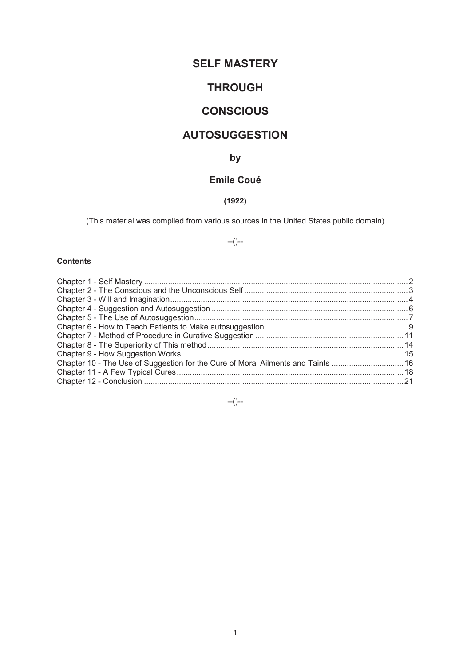# **SELF MASTERY**

# **THROUGH**

# **CONSCIOUS**

## **AUTOSUGGESTION**

## **by**

## **Emile Coué**

## **(1922)**

(This material was compiled from various sources in the United States public domain)

--()--

## **Contents**

| 16. Chapter 10 - The Use of Suggestion for the Cure of Moral Ailments and Taints  16 |
|--------------------------------------------------------------------------------------|
|                                                                                      |
|                                                                                      |
|                                                                                      |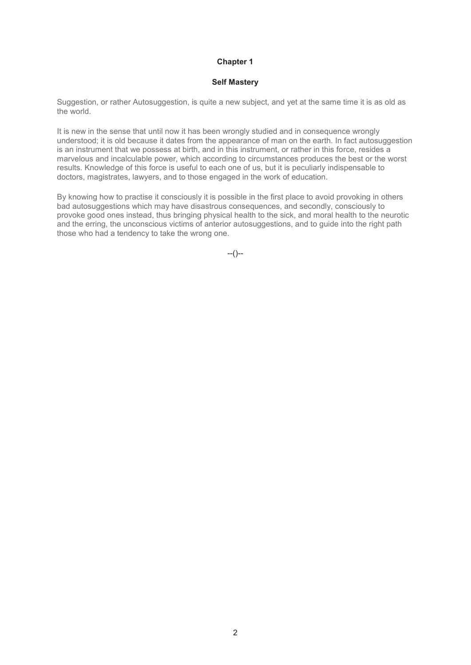#### **Self Mastery**

Suggestion, or rather Autosuggestion, is quite a new subject, and yet at the same time it is as old as the world.

It is new in the sense that until now it has been wrongly studied and in consequence wrongly understood; it is old because it dates from the appearance of man on the earth. In fact autosuggestion is an instrument that we possess at birth, and in this instrument, or rather in this force, resides a marvelous and incalculable power, which according to circumstances produces the best or the worst results. Knowledge of this force is useful to each one of us, but it is peculiarly indispensable to doctors, magistrates, lawyers, and to those engaged in the work of education.

By knowing how to practise it consciously it is possible in the first place to avoid provoking in others bad autosuggestions which may have disastrous consequences, and secondly, consciously to provoke good ones instead, thus bringing physical health to the sick, and moral health to the neurotic and the erring, the unconscious victims of anterior autosuggestions, and to guide into the right path those who had a tendency to take the wrong one.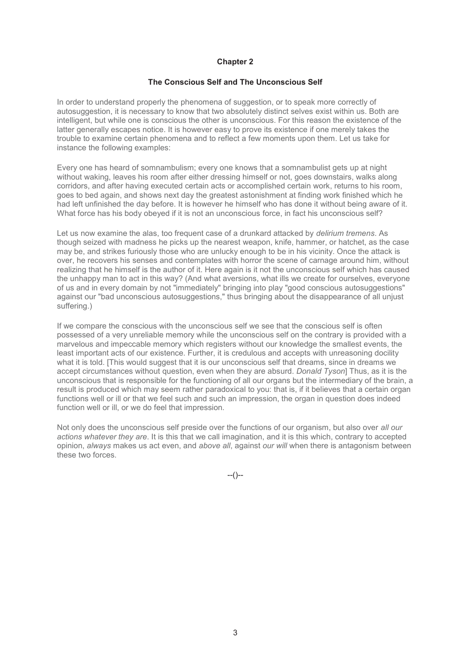#### **The Conscious Self and The Unconscious Self**

In order to understand properly the phenomena of suggestion, or to speak more correctly of autosuggestion, it is necessary to know that two absolutely distinct selves exist within us. Both are intelligent, but while one is conscious the other is unconscious. For this reason the existence of the latter generally escapes notice. It is however easy to prove its existence if one merely takes the trouble to examine certain phenomena and to reflect a few moments upon them. Let us take for instance the following examples:

Every one has heard of somnambulism; every one knows that a somnambulist gets up at night without waking, leaves his room after either dressing himself or not, goes downstairs, walks along corridors, and after having executed certain acts or accomplished certain work, returns to his room, goes to bed again, and shows next day the greatest astonishment at finding work finished which he had left unfinished the day before. It is however he himself who has done it without being aware of it. What force has his body obeyed if it is not an unconscious force, in fact his unconscious self?

Let us now examine the alas, too frequent case of a drunkard attacked by *delirium tremens*. As though seized with madness he picks up the nearest weapon, knife, hammer, or hatchet, as the case may be, and strikes furiously those who are unlucky enough to be in his vicinity. Once the attack is over, he recovers his senses and contemplates with horror the scene of carnage around him, without realizing that he himself is the author of it. Here again is it not the unconscious self which has caused the unhappy man to act in this way? (And what aversions, what ills we create for ourselves, everyone of us and in every domain by not "immediately" bringing into play "good conscious autosuggestions" against our "bad unconscious autosuggestions," thus bringing about the disappearance of all unjust suffering.)

If we compare the conscious with the unconscious self we see that the conscious self is often possessed of a very unreliable memory while the unconscious self on the contrary is provided with a marvelous and impeccable memory which registers without our knowledge the smallest events, the least important acts of our existence. Further, it is credulous and accepts with unreasoning docility what it is told. [This would suggest that it is our unconscious self that dreams, since in dreams we accept circumstances without question, even when they are absurd. *Donald Tyson*] Thus, as it is the unconscious that is responsible for the functioning of all our organs but the intermediary of the brain, a result is produced which may seem rather paradoxical to you: that is, if it believes that a certain organ functions well or ill or that we feel such and such an impression, the organ in question does indeed function well or ill, or we do feel that impression.

Not only does the unconscious self preside over the functions of our organism, but also over *all our actions whatever they are*. It is this that we call imagination, and it is this which, contrary to accepted opinion, *always* makes us act even, and *above all*, against *our will* when there is antagonism between these two forces.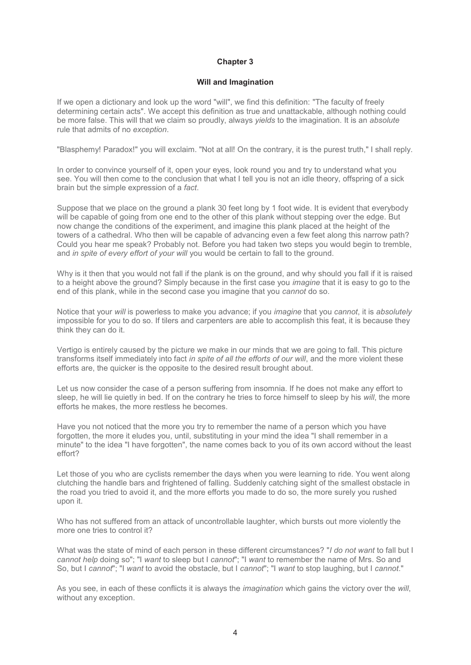#### **Will and Imagination**

If we open a dictionary and look up the word "will", we find this definition: "The faculty of freely determining certain acts". We accept this definition as true and unattackable, although nothing could be more false. This will that we claim so proudly, always *yields* to the imagination. It is an *absolute* rule that admits of no *exception*.

"Blasphemy! Paradox!" you will exclaim. "Not at all! On the contrary, it is the purest truth," I shall reply.

In order to convince yourself of it, open your eyes, look round you and try to understand what you see. You will then come to the conclusion that what I tell you is not an idle theory, offspring of a sick brain but the simple expression of a *fact*.

Suppose that we place on the ground a plank 30 feet long by 1 foot wide. It is evident that everybody will be capable of going from one end to the other of this plank without stepping over the edge. But now change the conditions of the experiment, and imagine this plank placed at the height of the towers of a cathedral. Who then will be capable of advancing even a few feet along this narrow path? Could you hear me speak? Probably not. Before you had taken two steps you would begin to tremble, and *in spite of every effort of your will* you would be certain to fall to the ground.

Why is it then that you would not fall if the plank is on the ground, and why should you fall if it is raised to a height above the ground? Simply because in the first case you *imagine* that it is easy to go to the end of this plank, while in the second case you imagine that you *cannot* do so.

Notice that your *will* is powerless to make you advance; if you *imagine* that you *cannot*, it is *absolutely* impossible for you to do so. If tilers and carpenters are able to accomplish this feat, it is because they think they can do it.

Vertigo is entirely caused by the picture we make in our minds that we are going to fall. This picture transforms itself immediately into fact *in spite of all the efforts of our will*, and the more violent these efforts are, the quicker is the opposite to the desired result brought about.

Let us now consider the case of a person suffering from insomnia. If he does not make any effort to sleep, he will lie quietly in bed. If on the contrary he tries to force himself to sleep by his *will*, the more efforts he makes, the more restless he becomes.

Have you not noticed that the more you try to remember the name of a person which you have forgotten, the more it eludes you, until, substituting in your mind the idea "I shall remember in a minute" to the idea "I have forgotten", the name comes back to you of its own accord without the least effort?

Let those of you who are cyclists remember the days when you were learning to ride. You went along clutching the handle bars and frightened of falling. Suddenly catching sight of the smallest obstacle in the road you tried to avoid it, and the more efforts you made to do so, the more surely you rushed upon it.

Who has not suffered from an attack of uncontrollable laughter, which bursts out more violently the more one tries to control it?

What was the state of mind of each person in these different circumstances? "*I do not want* to fall but I *cannot help* doing so"; "I *want* to sleep but I *cannot*"; "I *want* to remember the name of Mrs. So and So, but I *cannot*"; "I *want* to avoid the obstacle, but I *cannot*"; "I *want* to stop laughing, but I *cannot*."

As you see, in each of these conflicts it is always the *imagination* which gains the victory over the *will*, without any exception.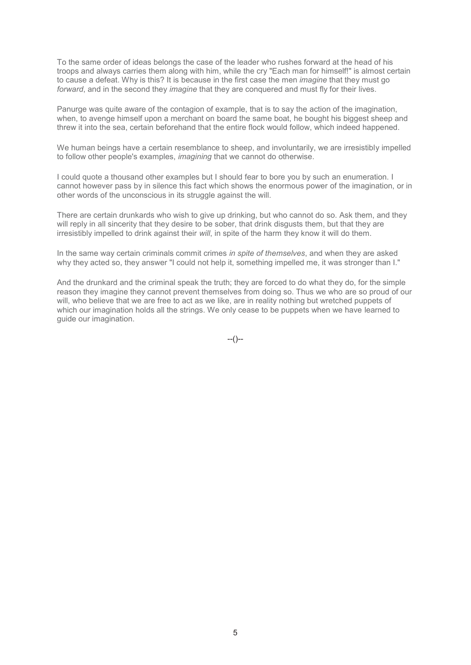To the same order of ideas belongs the case of the leader who rushes forward at the head of his troops and always carries them along with him, while the cry "Each man for himself!" is almost certain to cause a defeat. Why is this? It is because in the first case the men *imagine* that they must go *forward*, and in the second they *imagine* that they are conquered and must fly for their lives.

Panurge was quite aware of the contagion of example, that is to say the action of the imagination, when, to avenge himself upon a merchant on board the same boat, he bought his biggest sheep and threw it into the sea, certain beforehand that the entire flock would follow, which indeed happened.

We human beings have a certain resemblance to sheep, and involuntarily, we are irresistibly impelled to follow other people's examples, *imagining* that we cannot do otherwise.

I could quote a thousand other examples but I should fear to bore you by such an enumeration. I cannot however pass by in silence this fact which shows the enormous power of the imagination, or in other words of the unconscious in its struggle against the will.

There are certain drunkards who wish to give up drinking, but who cannot do so. Ask them, and they will reply in all sincerity that they desire to be sober, that drink disgusts them, but that they are irresistibly impelled to drink against their *will*, in spite of the harm they know it will do them.

In the same way certain criminals commit crimes *in spite of themselves*, and when they are asked why they acted so, they answer "I could not help it, something impelled me, it was stronger than I."

And the drunkard and the criminal speak the truth; they are forced to do what they do, for the simple reason they imagine they cannot prevent themselves from doing so. Thus we who are so proud of our will, who believe that we are free to act as we like, are in reality nothing but wretched puppets of which our imagination holds all the strings. We only cease to be puppets when we have learned to guide our imagination.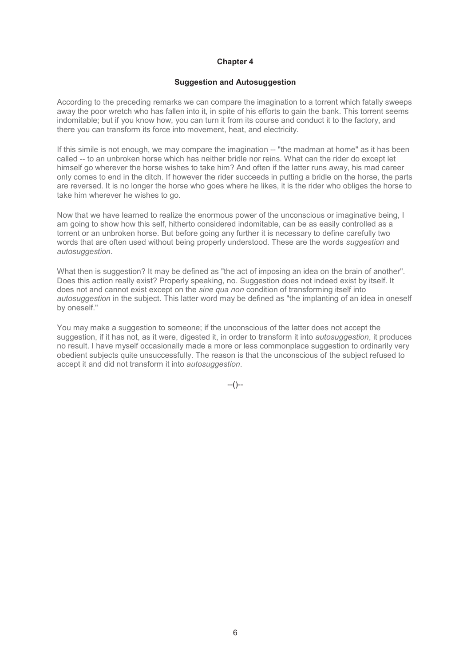#### **Suggestion and Autosuggestion**

According to the preceding remarks we can compare the imagination to a torrent which fatally sweeps away the poor wretch who has fallen into it, in spite of his efforts to gain the bank. This torrent seems indomitable; but if you know how, you can turn it from its course and conduct it to the factory, and there you can transform its force into movement, heat, and electricity.

If this simile is not enough, we may compare the imagination -- "the madman at home" as it has been called -- to an unbroken horse which has neither bridle nor reins. What can the rider do except let himself go wherever the horse wishes to take him? And often if the latter runs away, his mad career only comes to end in the ditch. If however the rider succeeds in putting a bridle on the horse, the parts are reversed. It is no longer the horse who goes where he likes, it is the rider who obliges the horse to take him wherever he wishes to go.

Now that we have learned to realize the enormous power of the unconscious or imaginative being, I am going to show how this self, hitherto considered indomitable, can be as easily controlled as a torrent or an unbroken horse. But before going any further it is necessary to define carefully two words that are often used without being properly understood. These are the words *suggestion* and *autosuggestion*.

What then is suggestion? It may be defined as "the act of imposing an idea on the brain of another". Does this action really exist? Properly speaking, no. Suggestion does not indeed exist by itself. It does not and cannot exist except on the *sine qua non* condition of transforming itself into *autosuggestion* in the subject. This latter word may be defined as "the implanting of an idea in oneself by oneself."

You may make a suggestion to someone; if the unconscious of the latter does not accept the suggestion, if it has not, as it were, digested it, in order to transform it into *autosuggestion*, it produces no result. I have myself occasionally made a more or less commonplace suggestion to ordinarily very obedient subjects quite unsuccessfully. The reason is that the unconscious of the subject refused to accept it and did not transform it into *autosuggestion*.

 $-(-)$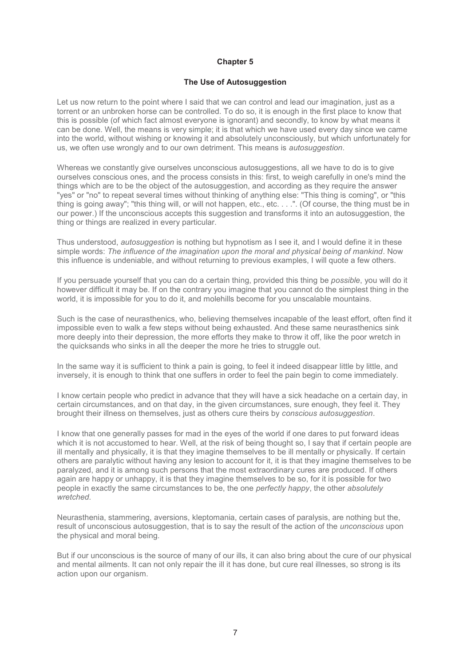#### **The Use of Autosuggestion**

Let us now return to the point where I said that we can control and lead our imagination, just as a torrent or an unbroken horse can be controlled. To do so, it is enough in the first place to know that this is possible (of which fact almost everyone is ignorant) and secondly, to know by what means it can be done. Well, the means is very simple; it is that which we have used every day since we came into the world, without wishing or knowing it and absolutely unconsciously, but which unfortunately for us, we often use wrongly and to our own detriment. This means is *autosuggestion*.

Whereas we constantly give ourselves unconscious autosuggestions, all we have to do is to give ourselves conscious ones, and the process consists in this: first, to weigh carefully in one's mind the things which are to be the object of the autosuggestion, and according as they require the answer "yes" or "no" to repeat several times without thinking of anything else: "This thing is coming", or "this thing is going away"; "this thing will, or will not happen, etc., etc. . . .". (Of course, the thing must be in our power.) If the unconscious accepts this suggestion and transforms it into an autosuggestion, the thing or things are realized in every particular.

Thus understood, *autosuggestion* is nothing but hypnotism as I see it, and I would define it in these simple words: *The influence of the imagination upon the moral and physical being of mankind*. Now this influence is undeniable, and without returning to previous examples, I will quote a few others.

If you persuade yourself that you can do a certain thing, provided this thing be *possible*, you will do it however difficult it may be. If on the contrary you imagine that you cannot do the simplest thing in the world, it is impossible for you to do it, and molehills become for you unscalable mountains.

Such is the case of neurasthenics, who, believing themselves incapable of the least effort, often find it impossible even to walk a few steps without being exhausted. And these same neurasthenics sink more deeply into their depression, the more efforts they make to throw it off, like the poor wretch in the quicksands who sinks in all the deeper the more he tries to struggle out.

In the same way it is sufficient to think a pain is going, to feel it indeed disappear little by little, and inversely, it is enough to think that one suffers in order to feel the pain begin to come immediately.

I know certain people who predict in advance that they will have a sick headache on a certain day, in certain circumstances, and on that day, in the given circumstances, sure enough, they feel it. They brought their illness on themselves, just as others cure theirs by *conscious autosuggestion*.

I know that one generally passes for mad in the eyes of the world if one dares to put forward ideas which it is not accustomed to hear. Well, at the risk of being thought so, I say that if certain people are ill mentally and physically, it is that they imagine themselves to be ill mentally or physically. If certain others are paralytic without having any lesion to account for it, it is that they imagine themselves to be paralyzed, and it is among such persons that the most extraordinary cures are produced. If others again are happy or unhappy, it is that they imagine themselves to be so, for it is possible for two people in exactly the same circumstances to be, the one *perfectly happy*, the other *absolutely wretched*.

Neurasthenia, stammering, aversions, kleptomania, certain cases of paralysis, are nothing but the, result of unconscious autosuggestion, that is to say the result of the action of the *unconscious* upon the physical and moral being.

But if our unconscious is the source of many of our ills, it can also bring about the cure of our physical and mental ailments. It can not only repair the ill it has done, but cure real illnesses, so strong is its action upon our organism.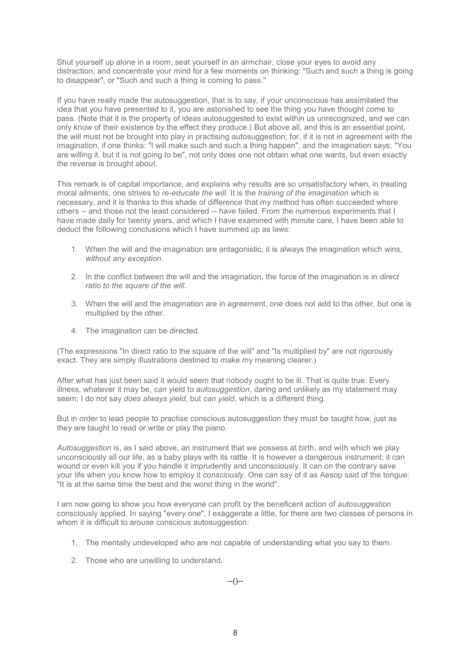Shut yourself up alone in a room, seat yourself in an armchair, close your eyes to avoid any distraction, and concentrate your mind for a few moments on thinking: "Such and such a thing is going to disappear", or "Such and such a thing is coming to pass."

If you have really made the autosuggestion, that is to say, if your unconscious has assimilated the idea that you have presented to it, you are astonished to see the thing you have thought come to pass. (Note that it is the property of ideas autosuggested to exist within us unrecognized, and we can only know of their existence by the effect they produce.) But above all, and this is an essential point, the will must not be brought into play in practising autosuggestion; for, if it is not in agreement with the imagination, if one thinks: "I will make such and such a thing happen", and the imagination says: "You are willing it, but it is not going to be", not only does one not obtain what one wants, but even exactly the reverse is brought about.

This remark is of capital importance, and explains why results are so unsatisfactory when, in treating moral ailments, one strives to *re-educate the will*. It is the *training of the imagination* which is necessary, and it is thanks to this shade of difference that my method has often succeeded where others -- and those not the least considered -- have failed. From the numerous experiments that I have made daily for twenty years, and which I have examined with minute care, I have been able to deduct the following conclusions which I have summed up as laws:

- 1. When the will and the imagination are antagonistic, it is always the imagination which wins, *without any exception*.
- 2. In the conflict between the will and the imagination, the force of the imagination is in *direct ratio to the square of the will*.
- 3. When the will and the imagination are in agreement, one does not add to the other, but one is multiplied by the other.
- 4. The imagination can be directed.

(The expressions "In direct ratio to the square of the will" and "Is multiplied by" are not rigorously exact. They are simply illustrations destined to make my meaning clearer.)

After what has just been said it would seem that nobody ought to be ill. That is quite true. Every illness, whatever it may be, *can* yield to *autosuggestion*, daring and unlikely as my statement may seem; I do not say *does always yield*, but *can yield*, which is a different thing.

But in order to lead people to practise conscious autosuggestion they must be taught how, just as they are taught to read or write or play the piano.

*Autosuggestion* is, as I said above, an instrument that we possess at birth, and with which we play unconsciously all our life, as a baby plays with its rattle. It is however a dangerous instrument; it can wound or even kill you if you handle it imprudently and unconsciously. It can on the contrary save your life when you know how to employ it *consciously*. One can say of it as Aesop said of the tongue: "It is at the same time the best and the worst thing in the world".

I am now going to show you how everyone can profit by the beneficent action of *autosuggestion* consciously applied. In saying "every one", I exaggerate a little, for there are two classes of persons in whom it is difficult to arouse conscious autosuggestion:

- 1. The mentally undeveloped who are not capable of understanding what you say to them.
- 2. Those who are unwilling to understand.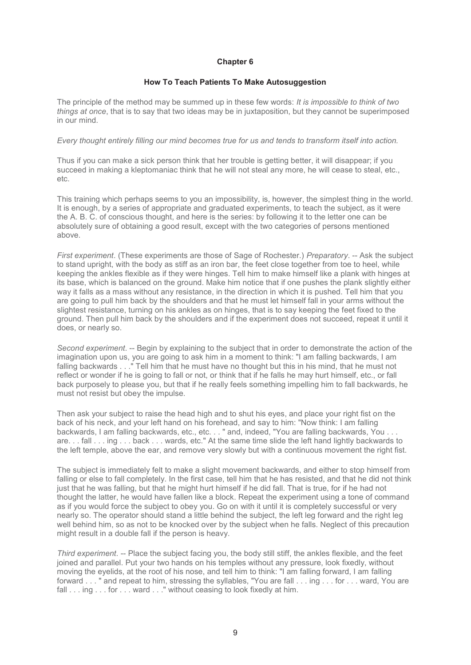#### **How To Teach Patients To Make Autosuggestion**

The principle of the method may be summed up in these few words: *It is impossible to think of two things at once*, that is to say that two ideas may be in juxtaposition, but they cannot be superimposed in our mind.

#### *Every thought entirely filling our mind becomes true for us and tends to transform itself into action.*

Thus if you can make a sick person think that her trouble is getting better, it will disappear; if you succeed in making a kleptomaniac think that he will not steal any more, he will cease to steal, etc., etc.

This training which perhaps seems to you an impossibility, is, however, the simplest thing in the world. It is enough, by a series of appropriate and graduated experiments, to teach the subject, as it were the A. B. C. of conscious thought, and here is the series: by following it to the letter one can be absolutely sure of obtaining a good result, except with the two categories of persons mentioned above.

*First experiment*. (These experiments are those of Sage of Rochester.) *Preparatory*. -- Ask the subject to stand upright, with the body as stiff as an iron bar, the feet close together from toe to heel, while keeping the ankles flexible as if they were hinges. Tell him to make himself like a plank with hinges at its base, which is balanced on the ground. Make him notice that if one pushes the plank slightly either way it falls as a mass without any resistance, in the direction in which it is pushed. Tell him that you are going to pull him back by the shoulders and that he must let himself fall in your arms without the slightest resistance, turning on his ankles as on hinges, that is to say keeping the feet fixed to the ground. Then pull him back by the shoulders and if the experiment does not succeed, repeat it until it does, or nearly so.

*Second experiment*. -- Begin by explaining to the subject that in order to demonstrate the action of the imagination upon us, you are going to ask him in a moment to think: "I am falling backwards, I am falling backwards . . ." Tell him that he must have no thought but this in his mind, that he must not reflect or wonder if he is going to fall or not, or think that if he falls he may hurt himself, etc., or fall back purposely to please you, but that if he really feels something impelling him to fall backwards, he must not resist but obey the impulse.

Then ask your subject to raise the head high and to shut his eyes, and place your right fist on the back of his neck, and your left hand on his forehead, and say to him: "Now think: I am falling backwards, I am falling backwards, etc., etc. . . " and, indeed, "You are falling backwards, You . . . are. . . fall . . . ing . . . back . . . wards, etc." At the same time slide the left hand lightly backwards to the left temple, above the ear, and remove very slowly but with a continuous movement the right fist.

The subject is immediately felt to make a slight movement backwards, and either to stop himself from falling or else to fall completely. In the first case, tell him that he has resisted, and that he did not think just that he was falling, but that he might hurt himself if he did fall. That is true, for if he had not thought the latter, he would have fallen like a block. Repeat the experiment using a tone of command as if you would force the subject to obey you. Go on with it until it is completely successful or very nearly so. The operator should stand a little behind the subject, the left leg forward and the right leg well behind him, so as not to be knocked over by the subject when he falls. Neglect of this precaution might result in a double fall if the person is heavy.

*Third experiment.* -- Place the subject facing you, the body still stiff, the ankles flexible, and the feet joined and parallel. Put your two hands on his temples without any pressure, look fixedly, without moving the eyelids, at the root of his nose, and tell him to think: "I am falling forward, I am falling forward . . . " and repeat to him, stressing the syllables, "You are fall . . . ing . . . for . . . ward, You are fall . . . ing . . . for . . . ward . . ." without ceasing to look fixedly at him.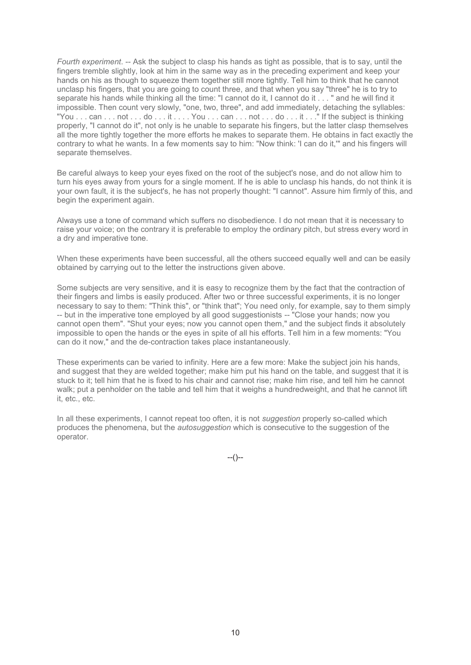*Fourth experiment*. -- Ask the subject to clasp his hands as tight as possible, that is to say, until the fingers tremble slightly, look at him in the same way as in the preceding experiment and keep your hands on his as though to squeeze them together still more tightly. Tell him to think that he cannot unclasp his fingers, that you are going to count three, and that when you say "three" he is to try to separate his hands while thinking all the time: "I cannot do it, I cannot do it . . . " and he will find it impossible. Then count very slowly, "one, two, three", and add immediately, detaching the syllables: "You . . . can . . . not . . . do . . . it . . . . You . . . can . . . not . . . do . . . it . . ." If the subject is thinking properly, "I cannot do it", not only is he unable to separate his fingers, but the latter clasp themselves all the more tightly together the more efforts he makes to separate them. He obtains in fact exactly the contrary to what he wants. In a few moments say to him: "Now think: 'I can do it,'" and his fingers will separate themselves.

Be careful always to keep your eyes fixed on the root of the subject's nose, and do not allow him to turn his eyes away from yours for a single moment. If he is able to unclasp his hands, do not think it is your own fault, it is the subject's, he has not properly thought: "I cannot". Assure him firmly of this, and begin the experiment again.

Always use a tone of command which suffers no disobedience. I do not mean that it is necessary to raise your voice; on the contrary it is preferable to employ the ordinary pitch, but stress every word in a dry and imperative tone.

When these experiments have been successful, all the others succeed equally well and can be easily obtained by carrying out to the letter the instructions given above.

Some subjects are very sensitive, and it is easy to recognize them by the fact that the contraction of their fingers and limbs is easily produced. After two or three successful experiments, it is no longer necessary to say to them: "Think this", or "think that"; You need only, for example, say to them simply -- but in the imperative tone employed by all good suggestionists -- "Close your hands; now you cannot open them". "Shut your eyes; now you cannot open them," and the subject finds it absolutely impossible to open the hands or the eyes in spite of all his efforts. Tell him in a few moments: "You can do it now," and the de-contraction takes place instantaneously.

These experiments can be varied to infinity. Here are a few more: Make the subject join his hands, and suggest that they are welded together; make him put his hand on the table, and suggest that it is stuck to it; tell him that he is fixed to his chair and cannot rise; make him rise, and tell him he cannot walk; put a penholder on the table and tell him that it weighs a hundredweight, and that he cannot lift it, etc., etc.

In all these experiments, I cannot repeat too often, it is not *suggestion* properly so-called which produces the phenomena, but the *autosuggestion* which is consecutive to the suggestion of the operator.

 $-(-)$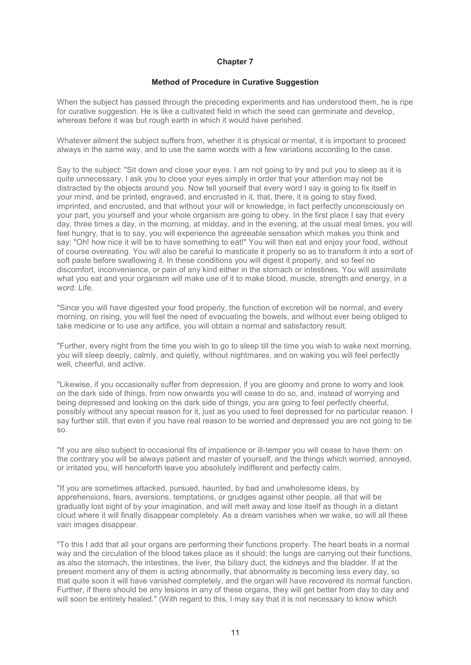#### **Method of Procedure in Curative Suggestion**

When the subject has passed through the preceding experiments and has understood them, he is ripe for curative suggestion. He is like a cultivated field in which the seed can germinate and develop. whereas before it was but rough earth in which it would have perished.

Whatever ailment the subject suffers from, whether it is physical or mental, it is important to proceed always in the same way, and to use the same words with a few variations according to the case.

Say to the subject: "Sit down and close your eyes. I am not going to try and put you to sleep as it is quite unnecessary. I ask you to close your eyes simply in order that your attention may not be distracted by the objects around you. Now tell yourself that every word I say is going to fix itself in your mind, and be printed, engraved, and encrusted in it, that, there, it is going to stay fixed, imprinted, and encrusted, and that without your will or knowledge, in fact perfectly unconsciously on your part, you yourself and your whole organism are going to obey. In the first place I say that every day, three times a day, in the morning, at midday, and in the evening, at the usual meal times, you will feel hungry, that is to say, you will experience the agreeable sensation which makes you think and say: "Oh! how nice it will be to have something to eat!" You will then eat and enjoy your food, without of course overeating. You will also be careful to masticate it properly so as to transform it into a sort of soft paste before swallowing it. In these conditions you will digest it properly, and so feel no discomfort, inconvenience, or pain of any kind either in the stomach or intestines. You will assimilate what you eat and your organism will make use of it to make blood, muscle, strength and energy, in a word: Life.

"Since you will have digested your food properly, the function of excretion will be normal, and every morning, on rising, you will feel the need of evacuating the bowels, and without ever being obliged to take medicine or to use any artifice, you will obtain a normal and satisfactory result.

"Further, every night from the time you wish to go to sleep till the time you wish to wake next morning, you will sleep deeply, calmly, and quietly, without nightmares, and on waking you will feel perfectly well, cheerful, and active.

"Likewise, if you occasionally suffer from depression, if you are gloomy and prone to worry and look on the dark side of things, from now onwards you will cease to do so, and, instead of worrying and being depressed and looking on the dark side of things, you are going to feel perfectly cheerful, possibly without any special reason for it, just as you used to feel depressed for no particular reason. I say further still, that even if you have real reason to be worried and depressed you are not going to be so.

"If you are also subject to occasional fits of impatience or ill-temper you will cease to have them: on the contrary you will be always patient and master of yourself, and the things which worried, annoyed, or irritated you, will henceforth leave you absolutely indifferent and perfectly calm.

"If you are sometimes attacked, pursued, haunted, by bad and unwholesome ideas, by apprehensions, fears, aversions, temptations, or grudges against other people, all that will be gradually lost sight of by your imagination, and will melt away and lose itself as though in a distant cloud where it will finally disappear completely. As a dream vanishes when we wake, so will all these vain images disappear.

"To this I add that all your organs are performing their functions properly. The heart beats in a normal way and the circulation of the blood takes place as it should; the lungs are carrying out their functions, as also the stomach, the intestines, the liver, the biliary duct, the kidneys and the bladder. If at the present moment any of them is acting abnormally, that abnormality is becoming less every day, so that quite soon it will have vanished completely, and the organ will have recovered its normal function. Further, if there should be any lesions in any of these organs, they will get better from day to day and will soon be entirely healed." (With regard to this, I may say that it is not necessary to know which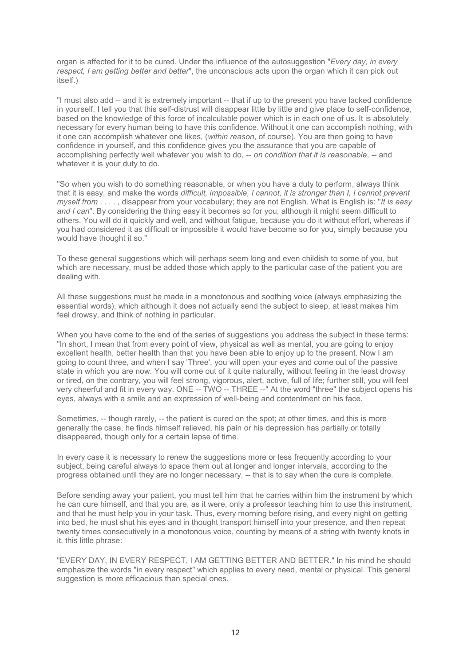organ is affected for it to be cured. Under the influence of the autosuggestion "*Every day, in every respect, I am getting better and better*", the unconscious acts upon the organ which it can pick out itself.)

"I must also add -- and it is extremely important -- that if up to the present you have lacked confidence in yourself, I tell you that this self-distrust will disappear little by little and give place to self-confidence, based on the knowledge of this force of incalculable power which is in each one of us. It is absolutely necessary for every human being to have this confidence. Without it one can accomplish nothing, with it one can accomplish whatever one likes, (*within reason*, of course). You are then going to have confidence in yourself, and this confidence gives you the assurance that you are capable of accomplishing perfectly well whatever you wish to do, -- *on condition that it is reasonable*, -- and whatever it is your duty to do.

"So when you wish to do something reasonable, or when you have a duty to perform, always think that it is easy, and make the words *difficult, impossible, I cannot, it is stronger than I, I cannot prevent myself from* . . . . , disappear from your vocabulary; they are not English. What is English is: "*It is easy and I can*". By considering the thing easy it becomes so for you, although it might seem difficult to others. You will do it quickly and well, and without fatigue, because you do it without effort, whereas if you had considered it as difficult or impossible it would have become so for you, simply because you would have thought it so."

To these general suggestions which will perhaps seem long and even childish to some of you, but which are necessary, must be added those which apply to the particular case of the patient you are dealing with.

All these suggestions must be made in a monotonous and soothing voice (always emphasizing the essential words), which although it does not actually send the subject to sleep, at least makes him feel drowsy, and think of nothing in particular.

When you have come to the end of the series of suggestions you address the subject in these terms: "In short, I mean that from every point of view, physical as well as mental, you are going to enjoy excellent health, better health than that you have been able to enjoy up to the present. Now I am going to count three, and when I say 'Three', you will open your eyes and come out of the passive state in which you are now. You will come out of it quite naturally, without feeling in the least drowsy or tired, on the contrary, you will feel strong, vigorous, alert, active, full of life; further still, you will feel very cheerful and fit in every way. ONE -- TWO -- THREE --" At the word "three" the subject opens his eyes, always with a smile and an expression of well-being and contentment on his face.

Sometimes, -- though rarely, -- the patient is cured on the spot; at other times, and this is more generally the case, he finds himself relieved, his pain or his depression has partially or totally disappeared, though only for a certain lapse of time.

In every case it is necessary to renew the suggestions more or less frequently according to your subject, being careful always to space them out at longer and longer intervals, according to the progress obtained until they are no longer necessary, -- that is to say when the cure is complete.

Before sending away your patient, you must tell him that he carries within him the instrument by which he can cure himself, and that you are, as it were, only a professor teaching him to use this instrument, and that he must help you in your task. Thus, every morning before rising, and every night on getting into bed, he must shut his eyes and in thought transport himself into your presence, and then repeat twenty times consecutively in a monotonous voice, counting by means of a string with twenty knots in it, this little phrase:

"EVERY DAY, IN EVERY RESPECT, I AM GETTING BETTER AND BETTER." In his mind he should emphasize the words "in every respect" which applies to every need, mental or physical. This general suggestion is more efficacious than special ones.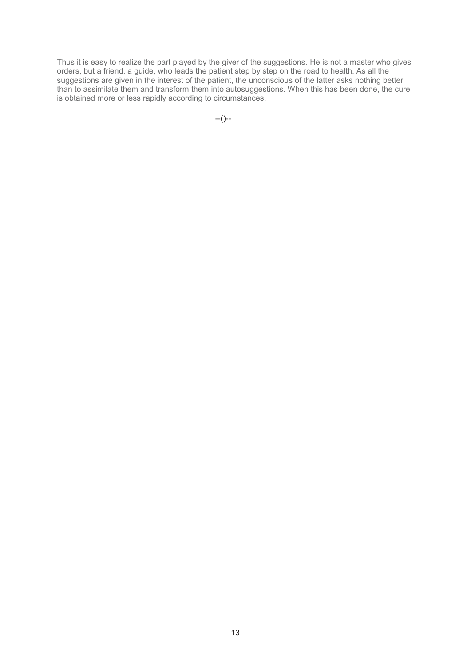Thus it is easy to realize the part played by the giver of the suggestions. He is not a master who gives orders, but a friend, a guide, who leads the patient step by step on the road to health. As all the suggestions are given in the interest of the patient, the unconscious of the latter asks nothing better than to assimilate them and transform them into autosuggestions. When this has been done, the cure is obtained more or less rapidly according to circumstances.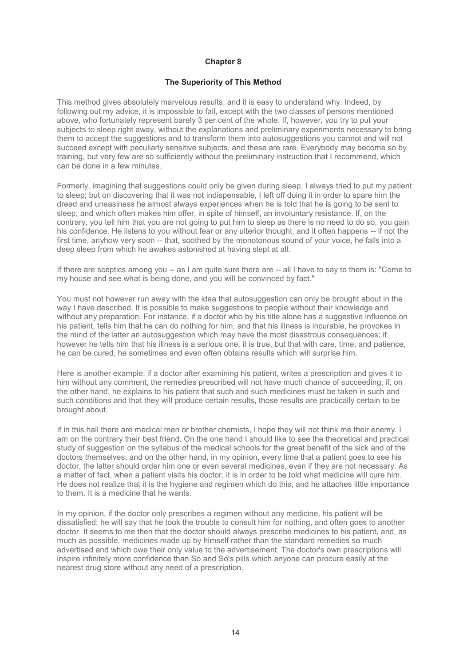#### **The Superiority of This Method**

This method gives absolutely marvelous results, and it is easy to understand why. Indeed, by following out my advice, it is impossible to fail, except with the two classes of persons mentioned above, who fortunately represent barely 3 per cent of the whole. If, however, you try to put your subjects to sleep right away, without the explanations and preliminary experiments necessary to bring them to accept the suggestions and to transform them into autosuggestions you cannot and will not succeed except with peculiarly sensitive subjects, and these are rare. Everybody may become so by training, but very few are so sufficiently without the preliminary instruction that I recommend, which can be done in a few minutes.

Formerly, imagining that suggestions could only be given during sleep, I always tried to put my patient to sleep; but on discovering that it was not indispensable, I left off doing it in order to spare him the dread and uneasiness he almost always experiences when he is told that he is going to be sent to sleep, and which often makes him offer, in spite of himself, an involuntary resistance. If, on the contrary, you tell him that you are not going to put him to sleep as there is no need to do so, you gain his confidence. He listens to you without fear or any ulterior thought, and it often happens -- if not the first time, anyhow very soon -- that, soothed by the monotonous sound of your voice, he falls into a deep sleep from which he awakes astonished at having slept at all.

If there are sceptics among you -- as I am quite sure there are -- all I have to say to them is: "Come to my house and see what is being done, and you will be convinced by fact."

You must not however run away with the idea that autosuggestion can only be brought about in the way I have described. It is possible to make suggestions to people without their knowledge and without any preparation. For instance, if a doctor who by his title alone has a suggestive influence on his patient, tells him that he can do nothing for him, and that his illness is incurable, he provokes in the mind of the latter an autosuggestion which may have the most disastrous consequences; if however he tells him that his illness is a serious one, it is true, but that with care, time, and patience, he can be cured, he sometimes and even often obtains results which will surprise him.

Here is another example: if a doctor after examining his patient, writes a prescription and gives it to him without any comment, the remedies prescribed will not have much chance of succeeding; if, on the other hand, he explains to his patient that such and such medicines must be taken in such and such conditions and that they will produce certain results, those results are practically certain to be brought about.

If in this hall there are medical men or brother chemists, I hope they will not think me their enemy. I am on the contrary their best friend. On the one hand I should like to see the theoretical and practical study of suggestion on the syllabus of the medical schools for the great benefit of the sick and of the doctors themselves; and on the other hand, in my opinion, every time that a patient goes to see his doctor, the latter should order him one or even several medicines, even if they are not necessary. As a matter of fact, when a patient visits his doctor, it is in order to be told what medicine will cure him. He does not realize that it is the hygiene and regimen which do this, and he attaches little importance to them. It is a medicine that he wants.

In my opinion, if the doctor only prescribes a regimen without any medicine, his patient will be dissatisfied; he will say that he took the trouble to consult him for nothing, and often goes to another doctor. It seems to me then that the doctor should always prescribe medicines to his patient, and, as much as possible, medicines made up by himself rather than the standard remedies so much advertised and which owe their only value to the advertisement. The doctor's own prescriptions will inspire infinitely more confidence than So and So's pills which anyone can procure easily at the nearest drug store without any need of a prescription.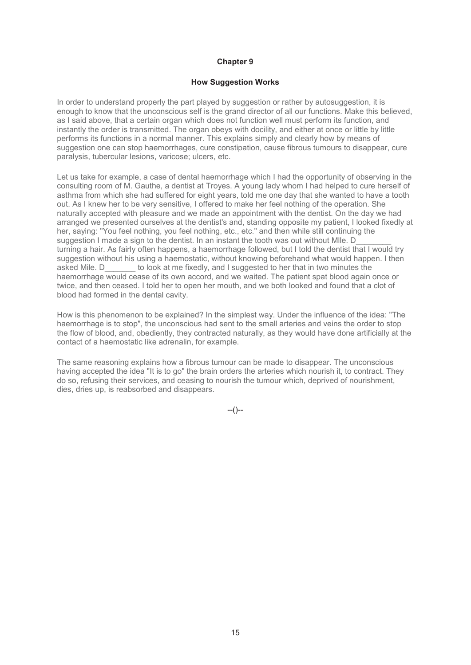#### **How Suggestion Works**

In order to understand properly the part played by suggestion or rather by autosuggestion, it is enough to know that the unconscious self is the grand director of all our functions. Make this believed, as I said above, that a certain organ which does not function well must perform its function, and instantly the order is transmitted. The organ obeys with docility, and either at once or little by little performs its functions in a normal manner. This explains simply and clearly how by means of suggestion one can stop haemorrhages, cure constipation, cause fibrous tumours to disappear, cure paralysis, tubercular lesions, varicose; ulcers, etc.

Let us take for example, a case of dental haemorrhage which I had the opportunity of observing in the consulting room of M. Gauthe, a dentist at Troyes. A young lady whom I had helped to cure herself of asthma from which she had suffered for eight years, told me one day that she wanted to have a tooth out. As I knew her to be very sensitive, I offered to make her feel nothing of the operation. She naturally accepted with pleasure and we made an appointment with the dentist. On the day we had arranged we presented ourselves at the dentist's and, standing opposite my patient, I looked fixedly at her, saying: "You feel nothing, you feel nothing, etc., etc." and then while still continuing the suggestion I made a sign to the dentist. In an instant the tooth was out without MIIe. D turning a hair. As fairly often happens, a haemorrhage followed, but I told the dentist that I would try suggestion without his using a haemostatic, without knowing beforehand what would happen. I then asked Mile. D\_\_\_\_\_\_\_ to look at me fixedly, and I suggested to her that in two minutes the haemorrhage would cease of its own accord, and we waited. The patient spat blood again once or twice, and then ceased. I told her to open her mouth, and we both looked and found that a clot of blood had formed in the dental cavity.

How is this phenomenon to be explained? In the simplest way. Under the influence of the idea: "The haemorrhage is to stop", the unconscious had sent to the small arteries and veins the order to stop the flow of blood, and, obediently, they contracted naturally, as they would have done artificially at the contact of a haemostatic like adrenalin, for example.

The same reasoning explains how a fibrous tumour can be made to disappear. The unconscious having accepted the idea "It is to go" the brain orders the arteries which nourish it, to contract. They do so, refusing their services, and ceasing to nourish the tumour which, deprived of nourishment, dies, dries up, is reabsorbed and disappears.

 $-(-)$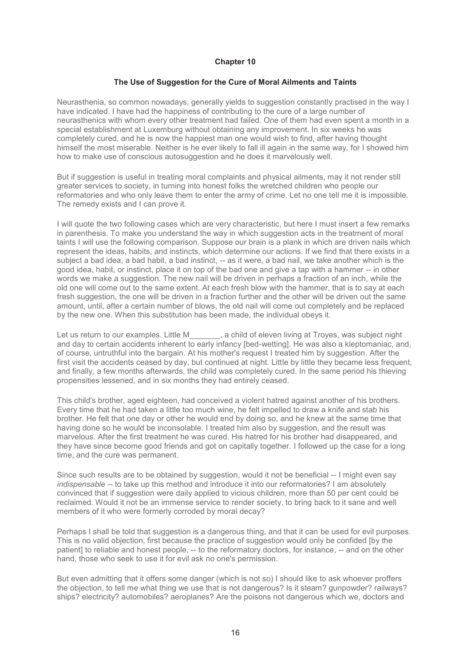#### **The Use of Suggestion for the Cure of Moral Ailments and Taints**

Neurasthenia, so common nowadays, generally yields to suggestion constantly practised in the way I have indicated. I have had the happiness of contributing to the cure of a large number of neurasthenics with whom every other treatment had failed. One of them had even spent a month in a special establishment at Luxemburg without obtaining any improvement. In six weeks he was completely cured, and he is now the happiest man one would wish to find, after having thought himself the most miserable. Neither is he ever likely to fall ill again in the same way, for I showed him how to make use of conscious autosuggestion and he does it marvelously well.

But if suggestion is useful in treating moral complaints and physical ailments, may it not render still greater services to society, in turning into honest folks the wretched children who people our reformatories and who only leave them to enter the army of crime. Let no one tell me it is impossible. The remedy exists and I can prove it.

I will quote the two following cases which are very characteristic, but here I must insert a few remarks in parenthesis. To make you understand the way in which suggestion acts in the treatment of moral taints I will use the following comparison. Suppose our brain is a plank in which are driven nails which represent the ideas, habits, and instincts, which determine our actions. If we find that there exists in a subject a bad idea, a bad habit, a bad instinct, -- as it were, a bad nail, we take another which is the good idea, habit, or instinct, place it on top of the bad one and give a tap with a hammer -- in other words we make a suggestion. The new nail will be driven in perhaps a fraction of an inch, while the old one will come out to the same extent. At each fresh blow with the hammer, that is to say at each fresh suggestion, the one will be driven in a fraction further and the other will be driven out the same amount, until, after a certain number of blows, the old nail will come out completely and be replaced by the new one. When this substitution has been made, the individual obeys it.

Let us return to our examples. Little M \_\_\_\_\_\_, a child of eleven living at Troyes, was subject night and day to certain accidents inherent to early infancy [bed-wetting]. He was also a kleptomaniac, and, of course, untruthful into the bargain. At his mother's request I treated him by suggestion. After the first visit the accidents ceased by day, but continued at night. Little by little they became less frequent, and finally, a few months afterwards, the child was completely cured. In the same period his thieving propensities lessened, and in six months they had entirely ceased.

This child's brother, aged eighteen, had conceived a violent hatred against another of his brothers. Every time that he had taken a little too much wine, he felt impelled to draw a knife and stab his brother. He felt that one day or other he would end by doing so, and he knew at the same time that having done so he would be inconsolable. I treated him also by suggestion, and the result was marvelous. After the first treatment he was cured. His hatred for his brother had disappeared, and they have since become good friends and got on capitally together. I followed up the case for a long time, and the cure was permanent.

Since such results are to be obtained by suggestion, would it not be beneficial -- I might even say *indispensable* -- to take up this method and introduce it into our reformatories? I am absolutely convinced that if suggestion were daily applied to vicious children, more than 50 per cent could be reclaimed. Would it not be an immense service to render society, to bring back to it sane and well members of it who were formerly corroded by moral decay?

Perhaps I shall be told that suggestion is a dangerous thing, and that it can be used for evil purposes. This is no valid objection, first because the practice of suggestion would only be confided [by the patient] to reliable and honest people, -- to the reformatory doctors, for instance, -- and on the other hand, those who seek to use it for evil ask no one's permission.

But even admitting that it offers some danger (which is not so) I should like to ask whoever proffers the objection, to tell me what thing we use that is not dangerous? Is it steam? gunpowder? railways? ships? electricity? automobiles? aeroplanes? Are the poisons not dangerous which we, doctors and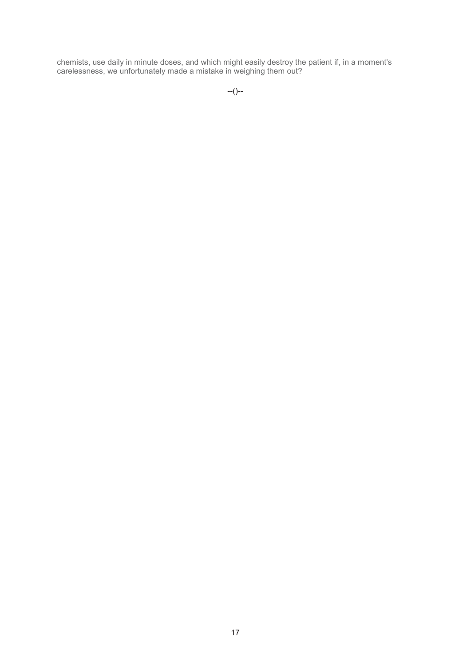chemists, use daily in minute doses, and which might easily destroy the patient if, in a moment's carelessness, we unfortunately made a mistake in weighing them out?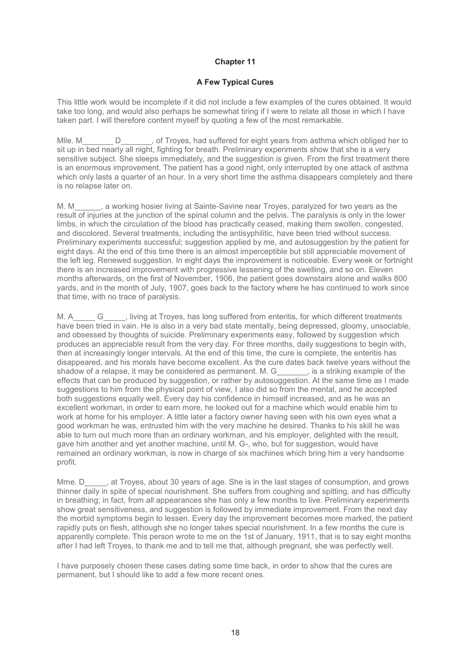## **A Few Typical Cures**

This little work would be incomplete if it did not include a few examples of the cures obtained. It would take too long, and would also perhaps be somewhat tiring if I were to relate all those in which I have taken part. I will therefore content myself by quoting a few of the most remarkable.

Mlle. M\_\_\_\_\_\_\_\_ D\_\_\_\_\_\_\_, of Troyes, had suffered for eight years from asthma which obliged her to sit up in bed nearly all night, fighting for breath. Preliminary experiments show that she is a very sensitive subject. She sleeps immediately, and the suggestion is given. From the first treatment there is an enormous improvement. The patient has a good night, only interrupted by one attack of asthma which only lasts a quarter of an hour. In a very short time the asthma disappears completely and there is no relapse later on.

M. M\_\_\_\_\_\_, a working hosier living at Sainte-Savine near Troyes, paralyzed for two years as the result of injuries at the junction of the spinal column and the pelvis. The paralysis is only in the lower limbs, in which the circulation of the blood has practically ceased, making them swollen, congested, and discolored. Several treatments, including the antisyphilitic, have been tried without success. Preliminary experiments successful; suggestion applied by me, and autosuggestion by the patient for eight days. At the end of this time there is an almost imperceptible but still appreciable movement of the left leg. Renewed suggestion. In eight days the improvement is noticeable. Every week or fortnight there is an increased improvement with progressive lessening of the swelling, and so on. Eleven months afterwards, on the first of November, 1906, the patient goes downstairs alone and walks 800 yards, and in the month of July, 1907, goes back to the factory where he has continued to work since that time, with no trace of paralysis.

M. A G all iving at Troyes, has long suffered from enteritis, for which different treatments have been tried in vain. He is also in a very bad state mentally, being depressed, gloomy, unsociable, and obsessed by thoughts of suicide. Preliminary experiments easy, followed by suggestion which produces an appreciable result from the very day. For three months, daily suggestions to begin with, then at increasingly longer intervals. At the end of this time, the cure is complete, the enteritis has disappeared, and his morals have become excellent. As the cure dates back twelve years without the shadow of a relapse, it may be considered as permanent. M. G\_\_\_\_\_\_\_, is a striking example of the effects that can be produced by suggestion, or rather by autosuggestion. At the same time as I made suggestions to him from the physical point of view, I also did so from the mental, and he accepted both suggestions equally well. Every day his confidence in himself increased, and as he was an excellent workman, in order to earn more, he looked out for a machine which would enable him to work at home for his employer. A little later a factory owner having seen with his own eyes what a good workman he was, entrusted him with the very machine he desired. Thanks to his skill he was able to turn out much more than an ordinary workman, and his employer, delighted with the result, gave him another and yet another machine, until M. G-, who, but for suggestion, would have remained an ordinary workman, is now in charge of six machines which bring him a very handsome profit.

Mme. D<sub>ara</sub>, at Troyes, about 30 years of age. She is in the last stages of consumption, and grows thinner daily in spite of special nourishment. She suffers from coughing and spitting, and has difficulty in breathing; in fact, from all appearances she has only a few months to live. Preliminary experiments show great sensitiveness, and suggestion is followed by immediate improvement. From the next day the morbid symptoms begin to lessen. Every day the improvement becomes more marked, the patient rapidly puts on flesh, although she no longer takes special nourishment. In a few months the cure is apparently complete. This person wrote to me on the 1st of January, 1911, that is to say eight months after I had left Troyes, to thank me and to tell me that, although pregnant, she was perfectly well.

I have purposely chosen these cases dating some time back, in order to show that the cures are permanent, but I should like to add a few more recent ones.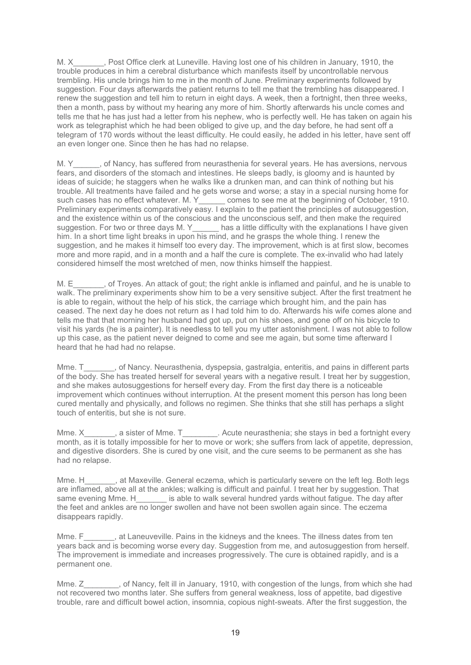M. X Fost Office clerk at Luneville. Having lost one of his children in January, 1910, the trouble produces in him a cerebral disturbance which manifests itself by uncontrollable nervous trembling. His uncle brings him to me in the month of June. Preliminary experiments followed by suggestion. Four days afterwards the patient returns to tell me that the trembling has disappeared. I renew the suggestion and tell him to return in eight days. A week, then a fortnight, then three weeks, then a month, pass by without my hearing any more of him. Shortly afterwards his uncle comes and tells me that he has just had a letter from his nephew, who is perfectly well. He has taken on again his work as telegraphist which he had been obliged to give up, and the day before, he had sent off a telegram of 170 words without the least difficulty. He could easily, he added in his letter, have sent off an even longer one. Since then he has had no relapse.

M. Y\_\_\_\_\_, of Nancy, has suffered from neurasthenia for several years. He has aversions, nervous fears, and disorders of the stomach and intestines. He sleeps badly, is gloomy and is haunted by ideas of suicide; he staggers when he walks like a drunken man, and can think of nothing but his trouble. All treatments have failed and he gets worse and worse; a stay in a special nursing home for such cases has no effect whatever. M. Y\_\_\_\_\_\_ comes to see me at the beginning of October, 1910. Preliminary experiments comparatively easy. I explain to the patient the principles of autosuggestion, and the existence within us of the conscious and the unconscious self, and then make the required suggestion. For two or three days M. Y\_\_\_\_\_\_ has a little difficulty with the explanations I have given him. In a short time light breaks in upon his mind, and he grasps the whole thing. I renew the suggestion, and he makes it himself too every day. The improvement, which is at first slow, becomes more and more rapid, and in a month and a half the cure is complete. The ex-invalid who had lately considered himself the most wretched of men, now thinks himself the happiest.

M. E\_\_\_\_\_\_, of Troyes. An attack of gout; the right ankle is inflamed and painful, and he is unable to walk. The preliminary experiments show him to be a very sensitive subject. After the first treatment he is able to regain, without the help of his stick, the carriage which brought him, and the pain has ceased. The next day he does not return as I had told him to do. Afterwards his wife comes alone and tells me that that morning her husband had got up, put on his shoes, and gone off on his bicycle to visit his yards (he is a painter). It is needless to tell you my utter astonishment. I was not able to follow up this case, as the patient never deigned to come and see me again, but some time afterward I heard that he had had no relapse.

Mme. T<sub>immer</sub>, of Nancy. Neurasthenia, dyspepsia, gastralgia, enteritis, and pains in different parts of the body. She has treated herself for several years with a negative result. I treat her by suggestion, and she makes autosuggestions for herself every day. From the first day there is a noticeable improvement which continues without interruption. At the present moment this person has long been cured mentally and physically, and follows no regimen. She thinks that she still has perhaps a slight touch of enteritis, but she is not sure.

Mme. X\_\_\_\_\_\_\_, a sister of Mme. T\_\_\_\_\_\_\_\_\_. Acute neurasthenia; she stays in bed a fortnight every month, as it is totally impossible for her to move or work; she suffers from lack of appetite, depression, and digestive disorders. She is cured by one visit, and the cure seems to be permanent as she has had no relapse.

Mme. H<sub>ara</sub>, at Maxeville. General eczema, which is particularly severe on the left leg. Both legs are inflamed, above all at the ankles; walking is difficult and painful. I treat her by suggestion. That same evening Mme. H\_\_\_\_\_\_\_ is able to walk several hundred yards without fatigue. The day after the feet and ankles are no longer swollen and have not been swollen again since. The eczema disappears rapidly.

Mme. F\_\_\_\_\_\_\_, at Laneuveville. Pains in the kidneys and the knees. The illness dates from ten years back and is becoming worse every day. Suggestion from me, and autosuggestion from herself. The improvement is immediate and increases progressively. The cure is obtained rapidly, and is a permanent one.

Mme. Z\_\_\_\_\_\_\_, of Nancy, felt ill in January, 1910, with congestion of the lungs, from which she had not recovered two months later. She suffers from general weakness, loss of appetite, bad digestive trouble, rare and difficult bowel action, insomnia, copious night-sweats. After the first suggestion, the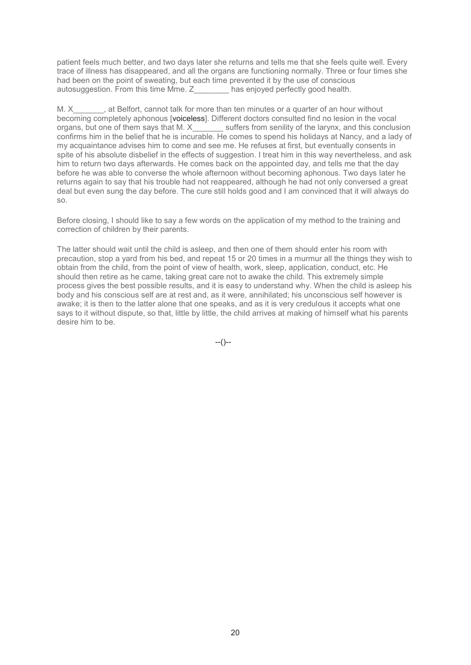patient feels much better, and two days later she returns and tells me that she feels quite well. Every trace of illness has disappeared, and all the organs are functioning normally. Three or four times she had been on the point of sweating, but each time prevented it by the use of conscious autosuggestion. From this time Mme. Z\_\_\_\_\_\_\_\_ has enjoyed perfectly good health.

M. X at Belfort, cannot talk for more than ten minutes or a quarter of an hour without becoming completely aphonous [voiceless]. Different doctors consulted find no lesion in the vocal organs, but one of them says that M. X<sup>1</sup> suffers from senility of the larynx, and this conclusion confirms him in the belief that he is incurable. He comes to spend his holidays at Nancy, and a lady of my acquaintance advises him to come and see me. He refuses at first, but eventually consents in spite of his absolute disbelief in the effects of suggestion. I treat him in this way nevertheless, and ask him to return two days afterwards. He comes back on the appointed day, and tells me that the day before he was able to converse the whole afternoon without becoming aphonous. Two days later he returns again to say that his trouble had not reappeared, although he had not only conversed a great deal but even sung the day before. The cure still holds good and I am convinced that it will always do so.

Before closing, I should like to say a few words on the application of my method to the training and correction of children by their parents.

The latter should wait until the child is asleep, and then one of them should enter his room with precaution, stop a yard from his bed, and repeat 15 or 20 times in a murmur all the things they wish to obtain from the child, from the point of view of health, work, sleep, application, conduct, etc. He should then retire as he came, taking great care not to awake the child. This extremely simple process gives the best possible results, and it is easy to understand why. When the child is asleep his body and his conscious self are at rest and, as it were, annihilated; his unconscious self however is awake; it is then to the latter alone that one speaks, and as it is very credulous it accepts what one says to it without dispute, so that, little by little, the child arrives at making of himself what his parents desire him to be.